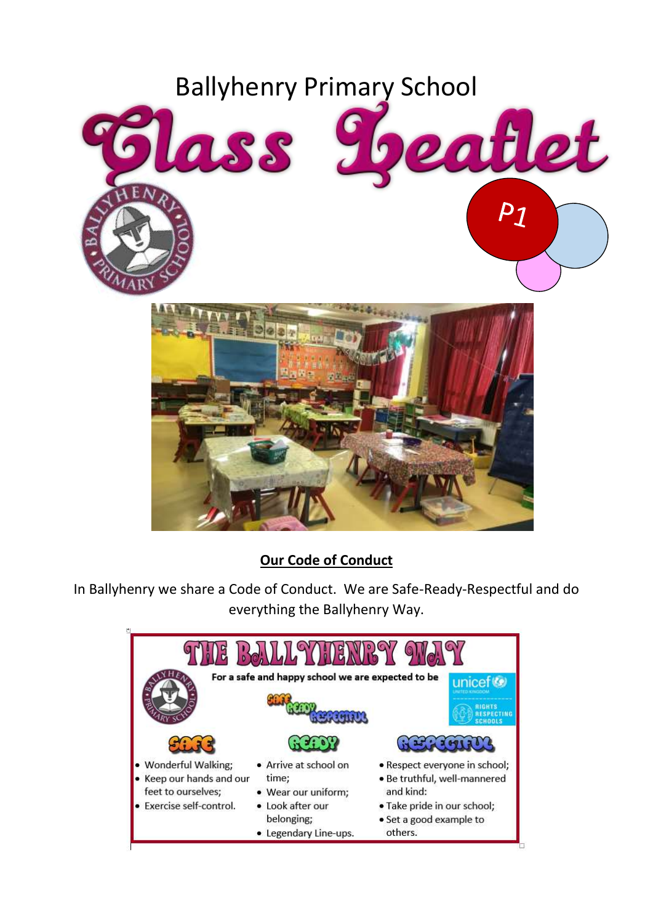

## **Our Code of Conduct**

In Ballyhenry we share a Code of Conduct. We are Safe-Ready-Respectful and do everything the Ballyhenry Way.

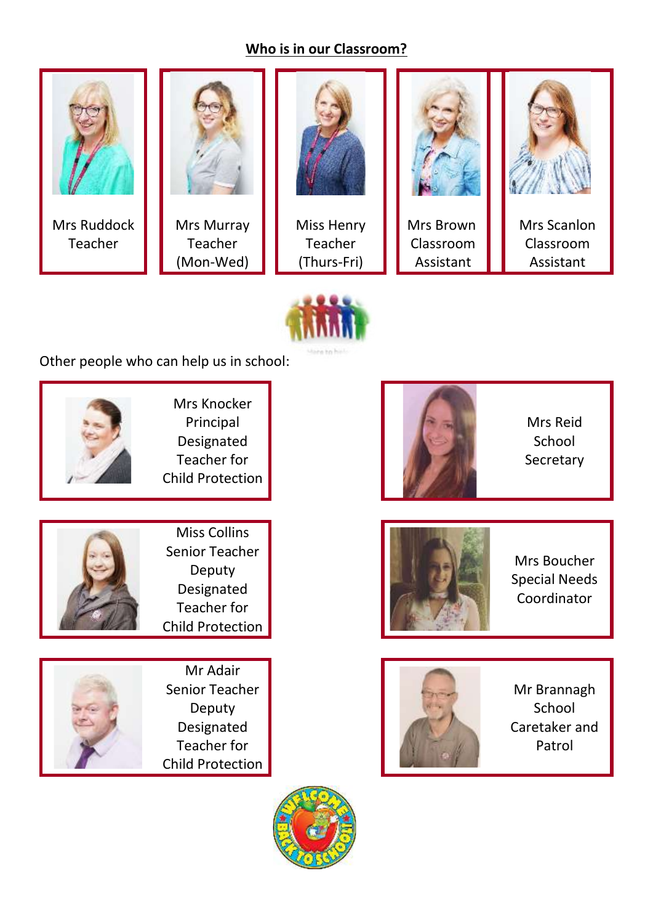### **Who is in our Classroom?**





Other people who can help us in school:



Senior Teacher Deputy Designated Teacher for Child Protection



Mr Adair Senior Teacher Deputy Designated Teacher for Child Protection



Mrs Reid School Secretary



Mrs Boucher Special Needs Coordinator



Mr Brannagh **School** Caretaker and Patrol

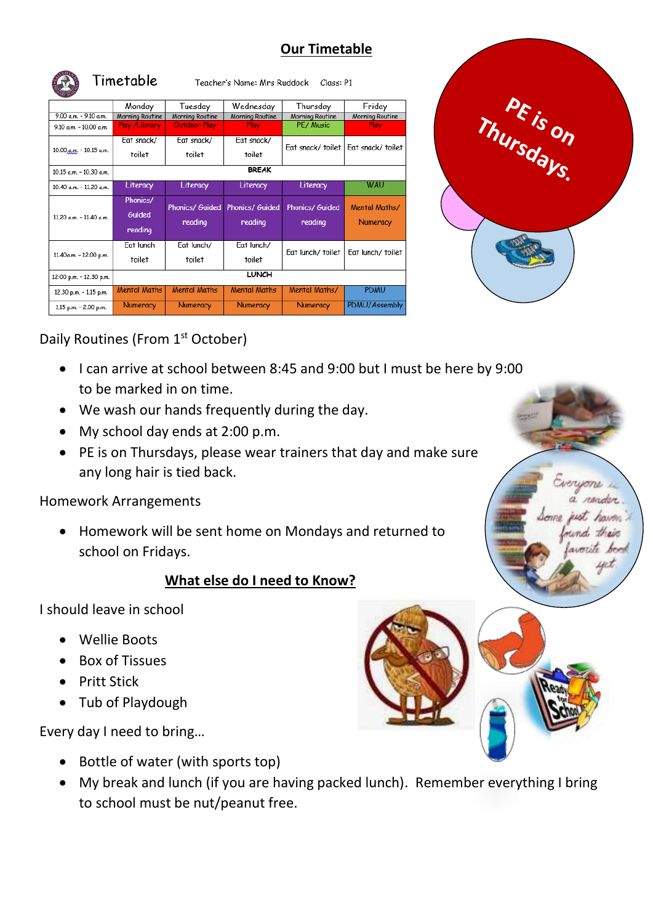### **Our Timetable**

|                            | Timetable<br>Teacher's Name: Mrs Ruddock<br>Class: P1 |                            |                                   |                                   |                                  |
|----------------------------|-------------------------------------------------------|----------------------------|-----------------------------------|-----------------------------------|----------------------------------|
|                            | Monday                                                | Tuesday                    | Wednesday                         | Thursday                          | Friday                           |
| $9.00 a.m. - 9.10 a.m.$    | Morning Routine                                       | Morning Routine            | Morning Routine                   | Morning Routine                   | Morning Routine                  |
| $9.10$ a.m. $-10.00$ a.m.  | Play /Library                                         | <b>Outdoor Play</b>        | <b>Play</b>                       | PE/ Music                         | <b>Play</b>                      |
| 10.00.a.m. - 10.15 a.m.    | Eat snack/                                            | Eat snack/                 | Eat snack/                        | Eat snack/toilet                  | Eat snack/toilet                 |
|                            | toilet                                                | toilet                     | toilet                            |                                   |                                  |
| $10.15$ a.m. $-10.30$ a.m. | <b>BREAK</b>                                          |                            |                                   |                                   |                                  |
| 10.40 a.m. - 11.20 a.m.    | Literacy                                              | Literacy                   | Literacy                          | Literacy                          | <b>WAU</b>                       |
| $11.20$ a.m. $-11.40$ a.m. | Phonics/<br>Guided<br>reading                         | Phonics/ Guided<br>reading | <b>Phonics/ Guided</b><br>reading | <b>Phonics/ Guided</b><br>reading | Mental Maths/<br><b>Numeracy</b> |
| 11.40a.m. - 12.00 p.m.     | <b>Eat lunch</b><br>toilet                            | Eat lunch/<br>toilet       | Eat lunch/<br>toilet              | Eat lunch/toilet                  | Eat lunch/ toilet                |
| 12:00 p.m. - 12.30 p.m.    | <b>LUNCH</b>                                          |                            |                                   |                                   |                                  |
| 12.30 p.m. - 1.15 p.m.     | <b>Mental Maths</b>                                   | <b>Mental Maths</b>        | <b>Mental Maths</b>               | Mental Maths/                     | <b>PDMU</b>                      |
| 1.15 p.m. - 2.00 p.m.      | <b>Numeracy</b>                                       | <b>Numeracy</b>            | <b>Numeracy</b>                   | <b>Numeracy</b>                   | PDMU/Assembly                    |



their hon

## Daily Routines (From 1<sup>st</sup> October)

- I can arrive at school between 8:45 and 9:00 but I must be here by 9:00 to be marked in on time.
- We wash our hands frequently during the day.
- My school day ends at 2:00 p.m.
- PE is on Thursdays, please wear trainers that day and make sure any long hair is tied back.

#### Homework Arrangements

• Homework will be sent home on Mondays and returned to school on Fridays.

#### **What else do I need to Know?**

I should leave in school

- Wellie Boots
- Box of Tissues
- Pritt Stick
- Tub of Playdough

Every day I need to bring…

- Bottle of water (with sports top)
- My break and lunch (if you are having packed lunch). Remember everything I bring to school must be nut/peanut free.